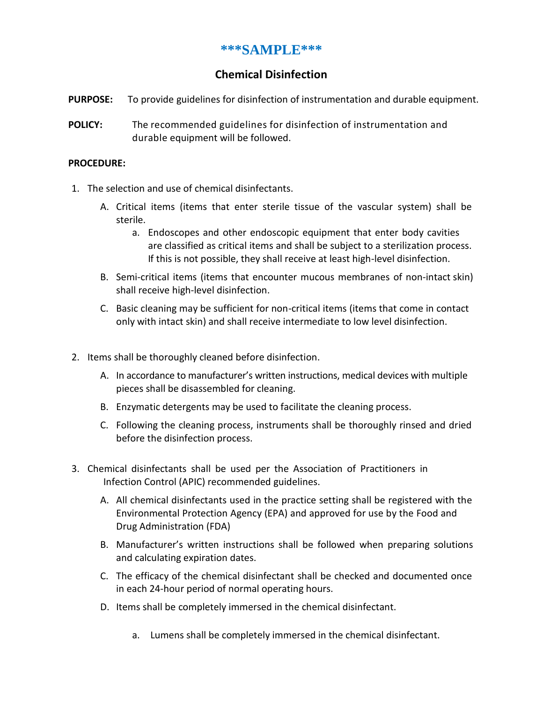## **\*\*\*SAMPLE\*\*\***

## **Chemical Disinfection**

- **PURPOSE:** To provide guidelines for disinfection of instrumentation and durable equipment.
- **POLICY:** The recommended guidelines for disinfection of instrumentation and durable equipment will be followed.

## **PROCEDURE:**

- 1. The selection and use of chemical disinfectants.
	- A. Critical items (items that enter sterile tissue of the vascular system) shall be sterile.
		- a. Endoscopes and other endoscopic equipment that enter body cavities are classified as critical items and shall be subject to a sterilization process. If this is not possible, they shall receive at least high-level disinfection.
	- B. Semi-critical items (items that encounter mucous membranes of non-intact skin) shall receive high-level disinfection.
	- C. Basic cleaning may be sufficient for non-critical items (items that come in contact only with intact skin) and shall receive intermediate to low level disinfection.
- 2. Items shall be thoroughly cleaned before disinfection.
	- A. In accordance to manufacturer's written instructions, medical devices with multiple pieces shall be disassembled for cleaning.
	- B. Enzymatic detergents may be used to facilitate the cleaning process.
	- C. Following the cleaning process, instruments shall be thoroughly rinsed and dried before the disinfection process.
- 3. Chemical disinfectants shall be used per the Association of Practitioners in Infection Control (APIC) recommended guidelines.
	- A. All chemical disinfectants used in the practice setting shall be registered with the Environmental Protection Agency (EPA) and approved for use by the Food and Drug Administration (FDA)
	- B. Manufacturer's written instructions shall be followed when preparing solutions and calculating expiration dates.
	- C. The efficacy of the chemical disinfectant shall be checked and documented once in each 24-hour period of normal operating hours.
	- D. Items shall be completely immersed in the chemical disinfectant.
		- a. Lumens shall be completely immersed in the chemical disinfectant.